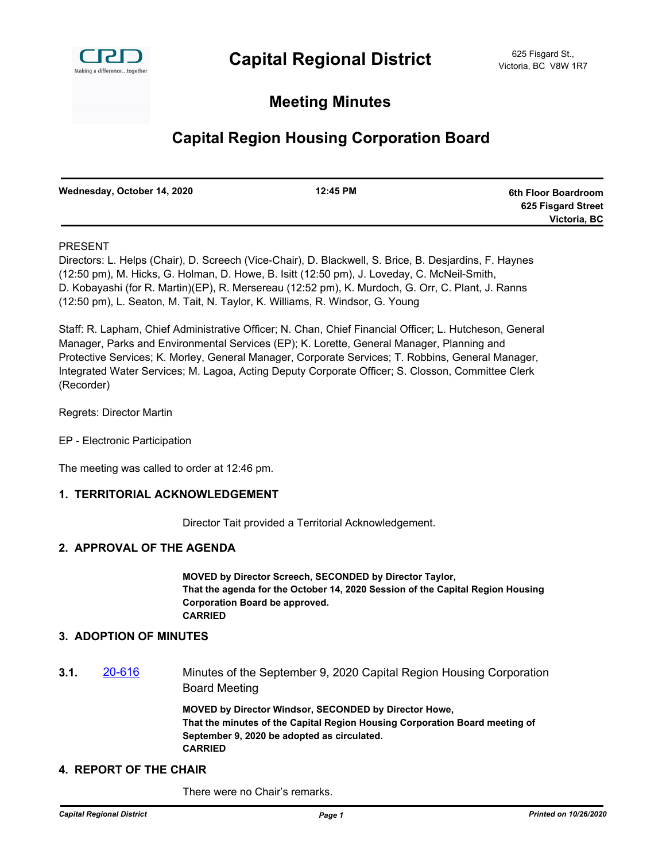

## **Meeting Minutes**

# **Capital Region Housing Corporation Board**

| Wednesday, October 14, 2020 | 12:45 PM | 6th Floor Boardroom |
|-----------------------------|----------|---------------------|
|                             |          | 625 Fisgard Street  |
|                             |          | Victoria, BC        |

## PRESENT

Directors: L. Helps (Chair), D. Screech (Vice-Chair), D. Blackwell, S. Brice, B. Desjardins, F. Haynes (12:50 pm), M. Hicks, G. Holman, D. Howe, B. Isitt (12:50 pm), J. Loveday, C. McNeil-Smith, D. Kobayashi (for R. Martin)(EP), R. Mersereau (12:52 pm), K. Murdoch, G. Orr, C. Plant, J. Ranns (12:50 pm), L. Seaton, M. Tait, N. Taylor, K. Williams, R. Windsor, G. Young

Staff: R. Lapham, Chief Administrative Officer; N. Chan, Chief Financial Officer; L. Hutcheson, General Manager, Parks and Environmental Services (EP); K. Lorette, General Manager, Planning and Protective Services; K. Morley, General Manager, Corporate Services; T. Robbins, General Manager, Integrated Water Services; M. Lagoa, Acting Deputy Corporate Officer; S. Closson, Committee Clerk (Recorder)

Regrets: Director Martin

EP - Electronic Participation

The meeting was called to order at 12:46 pm.

## **1. TERRITORIAL ACKNOWLEDGEMENT**

Director Tait provided a Territorial Acknowledgement.

## **2. APPROVAL OF THE AGENDA**

**MOVED by Director Screech, SECONDED by Director Taylor, That the agenda for the October 14, 2020 Session of the Capital Region Housing Corporation Board be approved. CARRIED**

## **3. ADOPTION OF MINUTES**

**3.1.** [20-616](http://crd.ca.legistar.com/gateway.aspx?m=l&id=/matter.aspx?key=7749) Minutes of the September 9, 2020 Capital Region Housing Corporation Board Meeting

> **MOVED by Director Windsor, SECONDED by Director Howe, That the minutes of the Capital Region Housing Corporation Board meeting of September 9, 2020 be adopted as circulated. CARRIED**

## **4. REPORT OF THE CHAIR**

There were no Chair's remarks.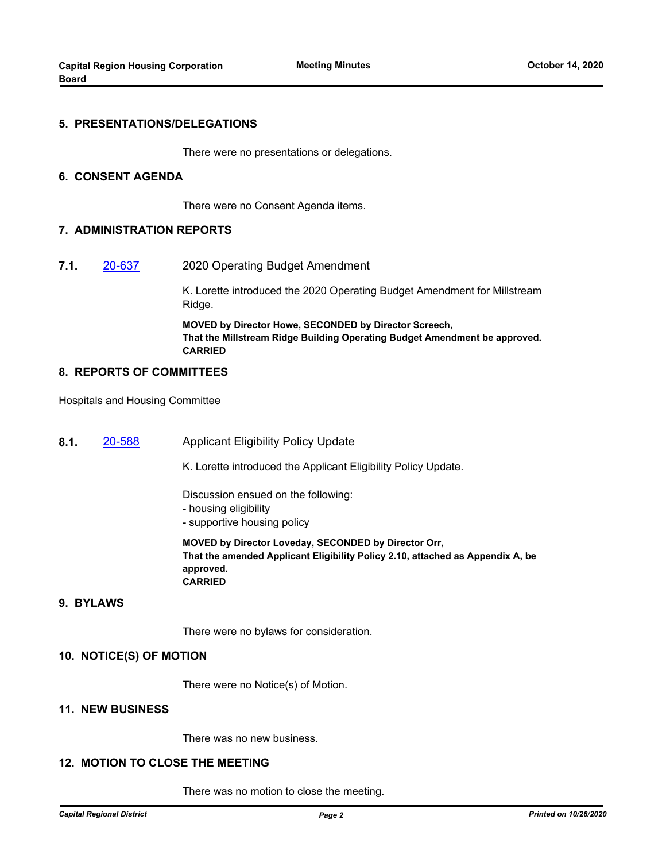## **5. PRESENTATIONS/DELEGATIONS**

There were no presentations or delegations.

#### **6. CONSENT AGENDA**

There were no Consent Agenda items.

#### **7. ADMINISTRATION REPORTS**

**7.1.** [20-637](http://crd.ca.legistar.com/gateway.aspx?m=l&id=/matter.aspx?key=7770) 2020 Operating Budget Amendment

K. Lorette introduced the 2020 Operating Budget Amendment for Millstream Ridge.

**MOVED by Director Howe, SECONDED by Director Screech, That the Millstream Ridge Building Operating Budget Amendment be approved. CARRIED**

## **8. REPORTS OF COMMITTEES**

Hospitals and Housing Committee

**8.1.** [20-588](http://crd.ca.legistar.com/gateway.aspx?m=l&id=/matter.aspx?key=6722) Applicant Eligibility Policy Update

K. Lorette introduced the Applicant Eligibility Policy Update.

Discussion ensued on the following:

- housing eligibility
- supportive housing policy

**MOVED by Director Loveday, SECONDED by Director Orr, That the amended Applicant Eligibility Policy 2.10, attached as Appendix A, be approved. CARRIED**

#### **9. BYLAWS**

There were no bylaws for consideration.

#### **10. NOTICE(S) OF MOTION**

There were no Notice(s) of Motion.

## **11. NEW BUSINESS**

There was no new business.

## **12. MOTION TO CLOSE THE MEETING**

There was no motion to close the meeting.